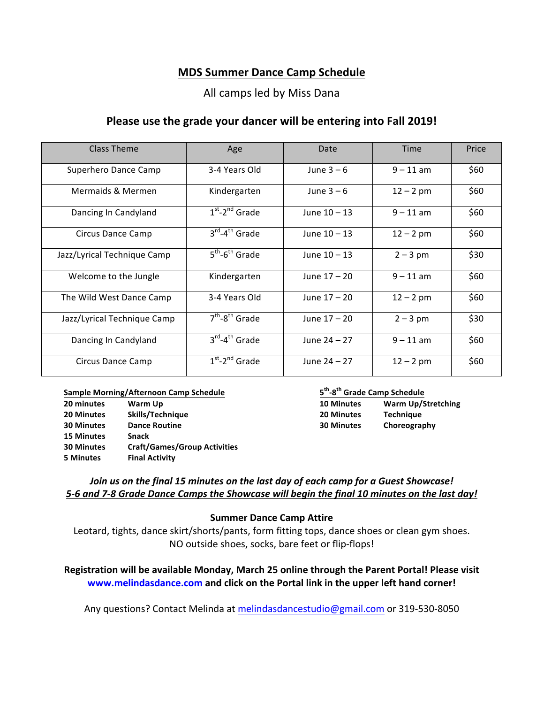# **MDS Summer Dance Camp Schedule**

# All camps led by Miss Dana

# **Please use the grade your dancer will be entering into Fall 2019!**

| Class Theme                 | Age                                   | Date           | <b>Time</b> | Price |
|-----------------------------|---------------------------------------|----------------|-------------|-------|
| Superhero Dance Camp        | 3-4 Years Old                         | June $3-6$     | $9 - 11$ am | \$60  |
| Mermaids & Mermen           | Kindergarten                          | June $3-6$     | $12 - 2$ pm | \$60  |
| Dancing In Candyland        | $1st - 2nd$ Grade                     | June 10 - 13   | $9 - 11$ am | \$60  |
| <b>Circus Dance Camp</b>    | $3^{\text{rd}} - 4^{\text{th}}$ Grade | June $10 - 13$ | $12 - 2$ pm | \$60  |
| Jazz/Lyrical Technique Camp | $5th - 6th$ Grade                     | June $10 - 13$ | $2 - 3$ pm  | \$30  |
| Welcome to the Jungle       | Kindergarten                          | June 17 – 20   | $9 - 11$ am | \$60  |
| The Wild West Dance Camp    | 3-4 Years Old                         | June 17 - 20   | $12 - 2$ pm | \$60  |
| Jazz/Lyrical Technique Camp | $7th - 8th$ Grade                     | June 17 - 20   | $2 - 3$ pm  | \$30  |
| Dancing In Candyland        | $3^{\text{rd}} - 4^{\text{th}}$ Grade | June 24 - 27   | $9 - 11$ am | \$60  |
| <b>Circus Dance Camp</b>    | $1st - 2nd$ Grade                     | June 24 - 27   | $12 - 2$ pm | \$60  |

#### **Sample Morning/Afternoon Camp Schedule 5<sup>th</sup>-8<sup>th</sup> Grade Camp Schedule**

| 20 minutes        | Warm Up                             |
|-------------------|-------------------------------------|
| <b>20 Minutes</b> | Skills/Technique                    |
| <b>30 Minutes</b> | <b>Dance Routine</b>                |
| <b>15 Minutes</b> | <b>Snack</b>                        |
| <b>30 Minutes</b> | <b>Craft/Games/Group Activities</b> |
| <b>5 Minutes</b>  | <b>Final Activity</b>               |
|                   |                                     |

**20 minutes Warm Up 10 Minutes Warm Up/Stretching 20 Minutes Skills/Technique 20 Minutes Technique 30 Minutes Choreography** 

### Join us on the final 15 minutes on the last day of each camp for a Guest Showcase! 5-6 and 7-8 Grade Dance Camps the Showcase will begin the final 10 minutes on the last day!

#### **Summer Dance Camp Attire**

Leotard, tights, dance skirt/shorts/pants, form fitting tops, dance shoes or clean gym shoes. NO outside shoes, socks, bare feet or flip-flops!

Registration will be available Monday, March 25 online through the Parent Portal! Please visit www.melindasdance.com and click on the Portal link in the upper left hand corner!

Any questions? Contact Melinda at melindasdancestudio@gmail.com or 319-530-8050